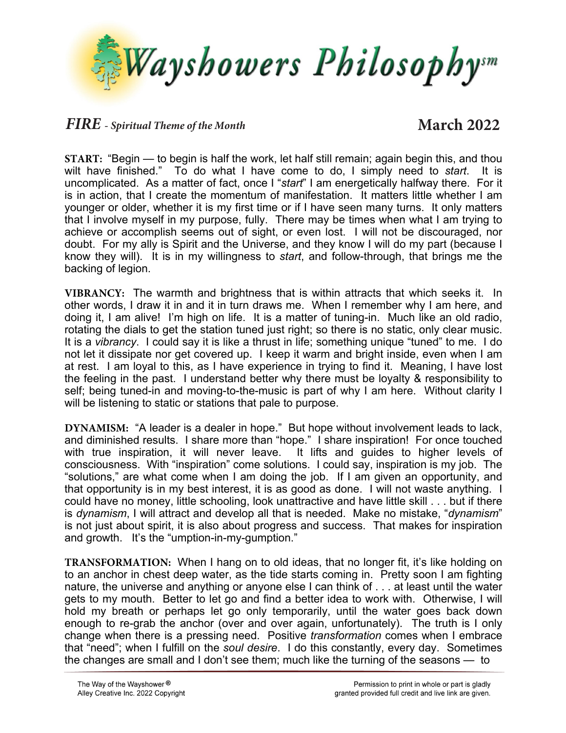

## *FIRE - Spiritual Theme of the Month* **March 2022**

**START:** "Begin — to begin is half the work, let half still remain; again begin this, and thou wilt have finished." To do what I have come to do, I simply need to *start*. It is uncomplicated. As a matter of fact, once I "*start*" I am energetically halfway there. For it is in action, that I create the momentum of manifestation. It matters little whether I am younger or older, whether it is my first time or if I have seen many turns. It only matters that I involve myself in my purpose, fully. There may be times when what I am trying to achieve or accomplish seems out of sight, or even lost. I will not be discouraged, nor doubt. For my ally is Spirit and the Universe, and they know I will do my part (because I know they will). It is in my willingness to *start*, and follow-through, that brings me the backing of legion.

**VIBRANCY:** The warmth and brightness that is within attracts that which seeks it. In other words, I draw it in and it in turn draws me. When I remember why I am here, and doing it, I am alive! I'm high on life. It is a matter of tuning-in. Much like an old radio, rotating the dials to get the station tuned just right; so there is no static, only clear music. It is a *vibrancy*. I could say it is like a thrust in life; something unique "tuned" to me. I do not let it dissipate nor get covered up. I keep it warm and bright inside, even when I am at rest. I am loyal to this, as I have experience in trying to find it. Meaning, I have lost the feeling in the past. I understand better why there must be loyalty & responsibility to self; being tuned-in and moving-to-the-music is part of why I am here. Without clarity I will be listening to static or stations that pale to purpose.

**DYNAMISM:** "A leader is a dealer in hope." But hope without involvement leads to lack, and diminished results. I share more than "hope." I share inspiration! For once touched with true inspiration, it will never leave. It lifts and guides to higher levels of consciousness. With "inspiration" come solutions. I could say, inspiration is my job. The "solutions," are what come when I am doing the job. If I am given an opportunity, and that opportunity is in my best interest, it is as good as done. I will not waste anything. I could have no money, little schooling, look unattractive and have little skill . . . but if there is *dynamism*, I will attract and develop all that is needed. Make no mistake, "*dynamism*" is not just about spirit, it is also about progress and success. That makes for inspiration and growth. It's the "umption-in-my-gumption."

**TRANSFORMATION:** When I hang on to old ideas, that no longer fit, it's like holding on to an anchor in chest deep water, as the tide starts coming in. Pretty soon I am fighting nature, the universe and anything or anyone else I can think of . . . at least until the water gets to my mouth. Better to let go and find a better idea to work with. Otherwise, I will hold my breath or perhaps let go only temporarily, until the water goes back down enough to re-grab the anchor (over and over again, unfortunately). The truth is I only change when there is a pressing need. Positive *transformation* comes when I embrace that "need"; when I fulfill on the *soul desire*. I do this constantly, every day. Sometimes the changes are small and I don't see them; much like the turning of the seasons — to